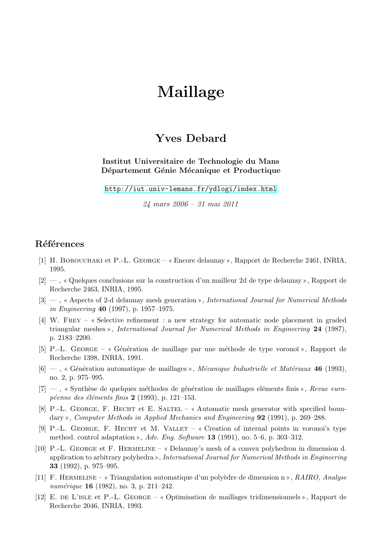## **Maillage**

## **Yves Debard**

**Institut Universitaire de Technologie du Mans** Département Génie Mécanique et Productique

http://iut.univ-lemans.fr/ydlogi/index.html

*24 mars 2006 – 31 mai 2011*

## **Références**

- [1] H. Borouchaki et P.-L. George Encore delaunay , Rapport de Recherche 2461, INRIA, 1995.
- $[2]$  , « Quelques conclusions sur la construction d'un mailleur 2d de type delaunay », Rapport de Recherche 2463, INRIA, 1995.
- [3] , Aspects of 2-d delaunay mesh generation , *International Journal for Numerical Methods in Engineering* **40** (1997), p. 1957–1975.
- [4] W. FREY « Selective refinement : a new strategy for automatic node placement in graded triangular meshes », *International Journal for Numerical Methods in Engineering* 24 (1987), p. 2183–2200.
- [5] P.-L. GEORGE « Génération de maillage par une méthode de type voronoï », Rapport de Recherche 1398, INRIA, 1991.
- [6] , G´en´eration automatique de maillages , *M´ecanique Industrielle et Mat´eriaux* **46** (1993), no. 2, p. 975–995.
- [7] –, « Synthèse de quelques méthodes de génération de maillages eléments finis », *Revue europ´eenne des ´el´ements finis* **2** (1993), p. 121–153.
- [8] P.-L. GEORGE, F. HECHT et E. SALTEL  $\alpha$  Automatic mesh generator with specified boundary , *Computer Methods in Applied Mechanics and Engineering* **92** (1991), p. 269–288.
- [9] P.-L. GEORGE, F. HECHT et M. VALLET  $\alpha$  Creation of internal points in voronoi's type method. control adaptation , *Adv. Eng. Software* **13** (1991), no. 5–6, p. 303–312.
- [10] P.-L. George et F. Hermeline Delaunay's mesh of a convex polyhedron in dimension d. application to arbitrary polyhedra », *International Journal for Numerical Methods in Engineering* **33** (1992), p. 975–995.
- [11] F. Hermeline Triangulation automatique d'un poly`edre de dimension n , *RAIRO, Analyse num´erique* **16** (1982), no. 3, p. 211–242.
- [12] E. de L'isle et P.-L. George Optimisation de maillages tridimensionnels , Rapport de Recherche 2046, INRIA, 1993.